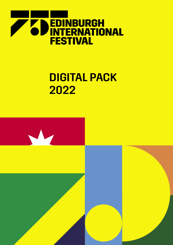

# DIGITAL PACK 2022

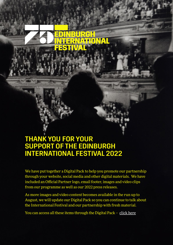# THANK YOU FOR YOUR SUPPORT OF THE EDINBURGH INTERNATIONAL FESTIVAL 2022

We have put together a Digital Pack to help you promote our partnership through your website, social media and other digital materials. We have included an Official Partner logo, email footer, images and video clips from our programme as well as our 2022 press releases.

RGH

**TERNATIONAL** 

**FESTIVA** 

As more images and video content becomes available in the run up to August, we will update our Digital Pack so you can continue to talk about the International Festival and our partnership with fresh material.

You can access all these items through the Digital Pack - [click here](https://spaces.hightail.com/space/XO60rXzEug)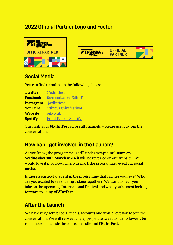### 2022 Official Partner Logo and Footer





#### Social Media

You can find us online in the following places:

| <b>Twitter</b>   | @edintfest                   |
|------------------|------------------------------|
| <b>Facebook</b>  | facebook.com/EdintFest       |
| <b>Instagram</b> | <b>@edintfest</b>            |
| <b>YouTube</b>   | edinburghintfestival         |
| <b>Website</b>   | eif.co.uk                    |
| <b>Spotify</b>   | <b>Edint Fest on Spotify</b> |

Our hashtag is **#EdIntFest** across all channels – please use it to join the conversation.

## How can I get involved in the Launch?

As you know, the programme is still under wraps until **10am on Wednesday 30th March** when it will be revealed on our website. We would love it if you could help us mark the programme reveal via social media.

Is there a particular event in the programme that catches your eye? Who are you excited to see sharing a stage together? We want to hear your take on the upcoming International Festival and what you're most looking forward to using **#EdIntFest**.

#### After the Launch

We have very active social media accounts and would love you to join the conversation. We will retweet any appropriate tweet to our followers, but remember to include the correct handle and **#EdIntFest**.